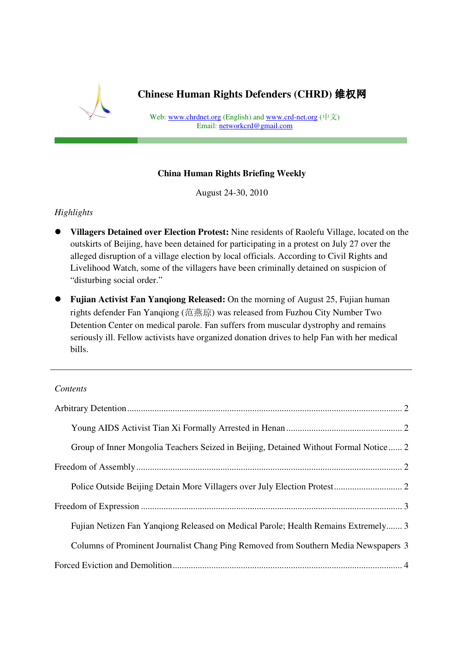

**Chinese Human Rights Defenders (CHRD)** 维权网

Web: www.chrdnet.org (English) and www.crd-net.org  $(\nvdash \vec{x})$ Email: networkcrd@gmail.com Promoting human rights and empowering grassroots activism in China

### **China Human Rights Briefing Weekly**

August 24-30, 2010

## *Highlights*

- **Villagers Detained over Election Protest:** Nine residents of Raolefu Village, located on the outskirts of Beijing, have been detained for participating in a protest on July 27 over the alleged disruption of a village election by local officials. According to Civil Rights and Livelihood Watch, some of the villagers have been criminally detained on suspicion of "disturbing social order."
- **Fujian Activist Fan Yanqiong Released:** On the morning of August 25, Fujian human rights defender Fan Yanqiong (范燕琼) was released from Fuzhou City Number Two Detention Center on medical parole. Fan suffers from muscular dystrophy and remains seriously ill. Fellow activists have organized donation drives to help Fan with her medical bills.

#### *Contents*

| Group of Inner Mongolia Teachers Seized in Beijing, Detained Without Formal Notice 2 |
|--------------------------------------------------------------------------------------|
|                                                                                      |
|                                                                                      |
|                                                                                      |
| Fujian Netizen Fan Yangiong Released on Medical Parole; Health Remains Extremely 3   |
| Columns of Prominent Journalist Chang Ping Removed from Southern Media Newspapers 3  |
|                                                                                      |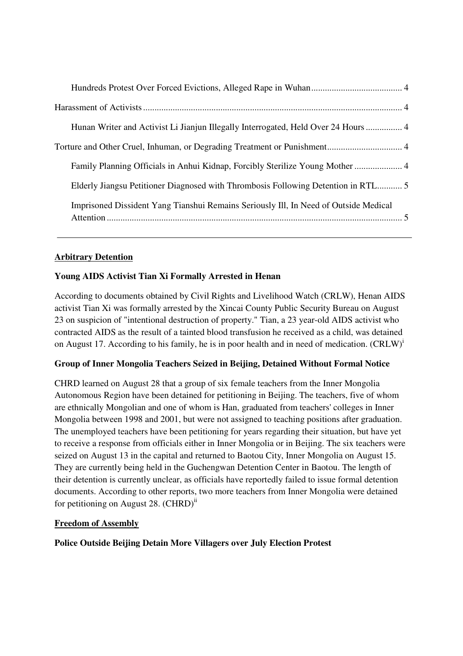| Hunan Writer and Activist Li Jianjun Illegally Interrogated, Held Over 24 Hours  4   |
|--------------------------------------------------------------------------------------|
|                                                                                      |
| Family Planning Officials in Anhui Kidnap, Forcibly Sterilize Young Mother  4        |
| Elderly Jiangsu Petitioner Diagnosed with Thrombosis Following Detention in RTL5     |
| Imprisoned Dissident Yang Tianshui Remains Seriously III, In Need of Outside Medical |

## **Arbitrary Detention**

# **Young AIDS Activist Tian Xi Formally Arrested in Henan**

According to documents obtained by Civil Rights and Livelihood Watch (CRLW), Henan AIDS activist Tian Xi was formally arrested by the Xincai County Public Security Bureau on August 23 on suspicion of "intentional destruction of property." Tian, a 23 year-old AIDS activist who contracted AIDS as the result of a tainted blood transfusion he received as a child, was detained on August 17. According to his family, he is in poor health and in need of medication.  $(CRLW)^{1}$ 

### **Group of Inner Mongolia Teachers Seized in Beijing, Detained Without Formal Notice**

CHRD learned on August 28 that a group of six female teachers from the Inner Mongolia Autonomous Region have been detained for petitioning in Beijing. The teachers, five of whom are ethnically Mongolian and one of whom is Han, graduated from teachers' colleges in Inner Mongolia between 1998 and 2001, but were not assigned to teaching positions after graduation. The unemployed teachers have been petitioning for years regarding their situation, but have yet to receive a response from officials either in Inner Mongolia or in Beijing. The six teachers were seized on August 13 in the capital and returned to Baotou City, Inner Mongolia on August 15. They are currently being held in the Guchengwan Detention Center in Baotou. The length of their detention is currently unclear, as officials have reportedly failed to issue formal detention documents. According to other reports, two more teachers from Inner Mongolia were detained for petitioning on August 28.  $(CHRD)^{ii}$ 

### **Freedom of Assembly**

### **Police Outside Beijing Detain More Villagers over July Election Protest**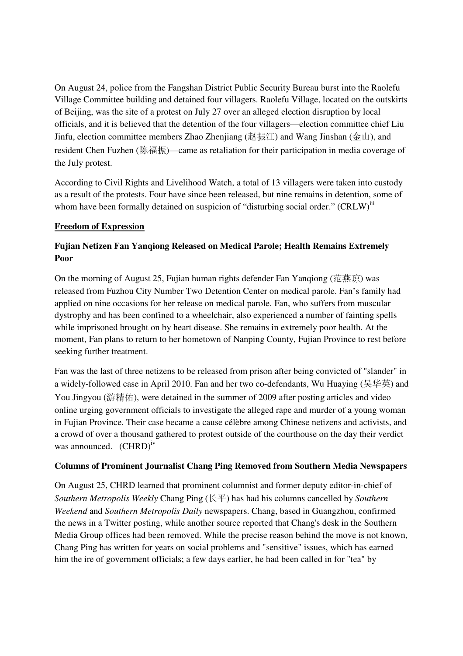On August 24, police from the Fangshan District Public Security Bureau burst into the Raolefu Village Committee building and detained four villagers. Raolefu Village, located on the outskirts of Beijing, was the site of a protest on July 27 over an alleged election disruption by local officials, and it is believed that the detention of the four villagers—election committee chief Liu Jinfu, election committee members Zhao Zhenjiang (赵振江) and Wang Jinshan (金山), and resident Chen Fuzhen (陈福振)—came as retaliation for their participation in media coverage of the July protest.

According to Civil Rights and Livelihood Watch, a total of 13 villagers were taken into custody as a result of the protests. Four have since been released, but nine remains in detention, some of whom have been formally detained on suspicion of "disturbing social order."  $(CRLW)^{11}$ 

#### **Freedom of Expression**

## **Fujian Netizen Fan Yanqiong Released on Medical Parole; Health Remains Extremely Poor**

On the morning of August 25, Fujian human rights defender Fan Yanqiong (范燕琼) was released from Fuzhou City Number Two Detention Center on medical parole. Fan's family had applied on nine occasions for her release on medical parole. Fan, who suffers from muscular dystrophy and has been confined to a wheelchair, also experienced a number of fainting spells while imprisoned brought on by heart disease. She remains in extremely poor health. At the moment, Fan plans to return to her hometown of Nanping County, Fujian Province to rest before seeking further treatment.

Fan was the last of three netizens to be released from prison after being convicted of "slander" in a widely-followed case in April 2010. Fan and her two co-defendants, Wu Huaying (吴华英) and You Jingyou (游精佑), were detained in the summer of 2009 after posting articles and video online urging government officials to investigate the alleged rape and murder of a young woman in Fujian Province. Their case became a cause célèbre among Chinese netizens and activists, and a crowd of over a thousand gathered to protest outside of the courthouse on the day their verdict was announced. (CHRD)<sup>iv</sup>

#### **Columns of Prominent Journalist Chang Ping Removed from Southern Media Newspapers**

On August 25, CHRD learned that prominent columnist and former deputy editor-in-chief of *Southern Metropolis Weekly* Chang Ping (长平) has had his columns cancelled by *Southern Weekend* and *Southern Metropolis Daily* newspapers. Chang, based in Guangzhou, confirmed the news in a Twitter posting, while another source reported that Chang's desk in the Southern Media Group offices had been removed. While the precise reason behind the move is not known, Chang Ping has written for years on social problems and "sensitive" issues, which has earned him the ire of government officials; a few days earlier, he had been called in for "tea" by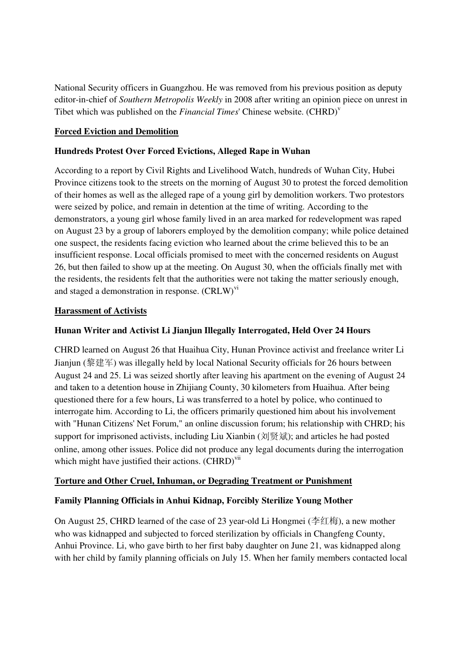National Security officers in Guangzhou. He was removed from his previous position as deputy editor-in-chief of *Southern Metropolis Weekly* in 2008 after writing an opinion piece on unrest in Tibet which was published on the *Financial Times*' Chinese website. (CHRD)<sup>v</sup>

### **Forced Eviction and Demolition**

#### **Hundreds Protest Over Forced Evictions, Alleged Rape in Wuhan**

According to a report by Civil Rights and Livelihood Watch, hundreds of Wuhan City, Hubei Province citizens took to the streets on the morning of August 30 to protest the forced demolition of their homes as well as the alleged rape of a young girl by demolition workers. Two protestors were seized by police, and remain in detention at the time of writing. According to the demonstrators, a young girl whose family lived in an area marked for redevelopment was raped on August 23 by a group of laborers employed by the demolition company; while police detained one suspect, the residents facing eviction who learned about the crime believed this to be an insufficient response. Local officials promised to meet with the concerned residents on August 26, but then failed to show up at the meeting. On August 30, when the officials finally met with the residents, the residents felt that the authorities were not taking the matter seriously enough, and staged a demonstration in response.  $(CRLW)^{vi}$ 

#### **Harassment of Activists**

### **Hunan Writer and Activist Li Jianjun Illegally Interrogated, Held Over 24 Hours**

CHRD learned on August 26 that Huaihua City, Hunan Province activist and freelance writer Li Jianjun (黎建军) was illegally held by local National Security officials for 26 hours between August 24 and 25. Li was seized shortly after leaving his apartment on the evening of August 24 and taken to a detention house in Zhijiang County, 30 kilometers from Huaihua. After being questioned there for a few hours, Li was transferred to a hotel by police, who continued to interrogate him. According to Li, the officers primarily questioned him about his involvement with "Hunan Citizens' Net Forum," an online discussion forum; his relationship with CHRD; his support for imprisoned activists, including Liu Xianbin (刘贤斌); and articles he had posted online, among other issues. Police did not produce any legal documents during the interrogation which might have justified their actions.  $(CHRD)^{Vii}$ 

#### **Torture and Other Cruel, Inhuman, or Degrading Treatment or Punishment**

### **Family Planning Officials in Anhui Kidnap, Forcibly Sterilize Young Mother**

On August 25, CHRD learned of the case of 23 year-old Li Hongmei (李红梅), a new mother who was kidnapped and subjected to forced sterilization by officials in Changfeng County, Anhui Province. Li, who gave birth to her first baby daughter on June 21, was kidnapped along with her child by family planning officials on July 15. When her family members contacted local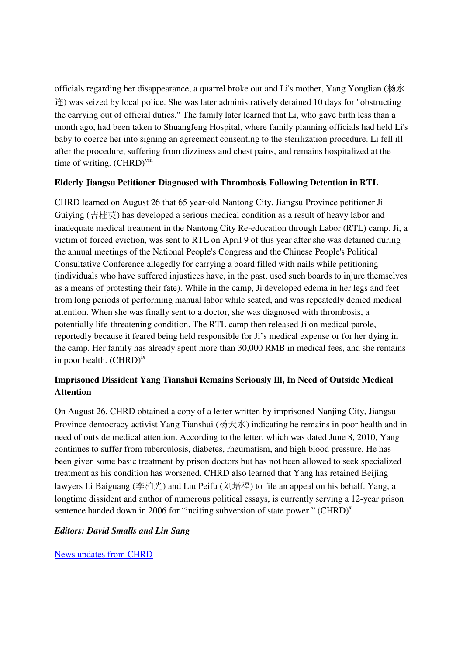officials regarding her disappearance, a quarrel broke out and Li's mother, Yang Yonglian (杨永  $\hat{\mathcal{F}}$ ) was seized by local police. She was later administratively detained 10 days for "obstructing" the carrying out of official duties." The family later learned that Li, who gave birth less than a month ago, had been taken to Shuangfeng Hospital, where family planning officials had held Li's baby to coerce her into signing an agreement consenting to the sterilization procedure. Li fell ill after the procedure, suffering from dizziness and chest pains, and remains hospitalized at the time of writing. (CHRD)<sup>viii</sup>

## **Elderly Jiangsu Petitioner Diagnosed with Thrombosis Following Detention in RTL**

CHRD learned on August 26 that 65 year-old Nantong City, Jiangsu Province petitioner Ji Guiying (吉桂英) has developed a serious medical condition as a result of heavy labor and inadequate medical treatment in the Nantong City Re-education through Labor (RTL) camp. Ji, a victim of forced eviction, was sent to RTL on April 9 of this year after she was detained during the annual meetings of the National People's Congress and the Chinese People's Political Consultative Conference allegedly for carrying a board filled with nails while petitioning (individuals who have suffered injustices have, in the past, used such boards to injure themselves as a means of protesting their fate). While in the camp, Ji developed edema in her legs and feet from long periods of performing manual labor while seated, and was repeatedly denied medical attention. When she was finally sent to a doctor, she was diagnosed with thrombosis, a potentially life-threatening condition. The RTL camp then released Ji on medical parole, reportedly because it feared being held responsible for Ji's medical expense or for her dying in the camp. Her family has already spent more than 30,000 RMB in medical fees, and she remains in poor health.  $(CHRD)^{ix}$ 

# **Imprisoned Dissident Yang Tianshui Remains Seriously Ill, In Need of Outside Medical Attention**

On August 26, CHRD obtained a copy of a letter written by imprisoned Nanjing City, Jiangsu Province democracy activist Yang Tianshui (杨天水) indicating he remains in poor health and in need of outside medical attention. According to the letter, which was dated June 8, 2010, Yang continues to suffer from tuberculosis, diabetes, rheumatism, and high blood pressure. He has been given some basic treatment by prison doctors but has not been allowed to seek specialized treatment as his condition has worsened. CHRD also learned that Yang has retained Beijing lawyers Li Baiguang (李柏光) and Liu Peifu (刘培福) to file an appeal on his behalf. Yang, a longtime dissident and author of numerous political essays, is currently serving a 12-year prison sentence handed down in 2006 for "inciting subversion of state power." (CHRD) $<sup>x</sup>$ </sup>

### *Editors: David Smalls and Lin Sang*

News updates from CHRD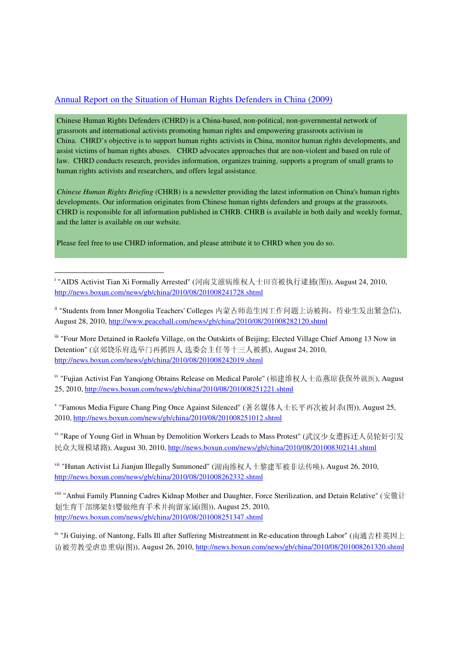#### Annual Report on the Situation of Human Rights Defenders in China (2009)

Chinese Human Rights Defenders (CHRD) is a China-based, non-political, non-governmental network of grassroots and international activists promoting human rights and empowering grassroots activism in China. CHRD's objective is to support human rights activists in China, monitor human rights developments, and assist victims of human rights abuses. CHRD advocates approaches that are non-violent and based on rule of law. CHRD conducts research, provides information, organizes training, supports a program of small grants to human rights activists and researchers, and offers legal assistance.

*Chinese Human Rights Briefing* (CHRB) is a newsletter providing the latest information on China's human rights developments. Our information originates from Chinese human rights defenders and groups at the grassroots. CHRD is responsible for all information published in CHRB. CHRB is available in both daily and weekly format, and the latter is available on our website.

Please feel free to use CHRD information, and please attribute it to CHRD when you do so.

-

<sup>i</sup> "AIDS Activist Tian Xi Formally Arrested" (河南艾滋病维权人士田喜被执行逮捕(图)), August 24, 2010, http://news.boxun.com/news/gb/china/2010/08/201008241728.shtml

ii "Students from Inner Mongolia Teachers' Colleges 内蒙古师范生因工作问题上访被拘,待业生发出紧急信), August 28, 2010, http://www.peacehall.com/news/gb/china/2010/08/201008282120.shtml

iii "Four More Detained in Raolefu Village, on the Outskirts of Beijing; Elected Village Chief Among 13 Now in Detention" (京郊饶乐府选举门再抓四人 选委会主任等十三人被抓), August 24, 2010, http://news.boxun.com/news/gb/china/2010/08/201008242019.shtml

iv "Fujian Activist Fan Yanqiong Obtains Release on Medical Parole" (福建维权人士范燕琼获保外就医), August 25, 2010, http://news.boxun.com/news/gb/china/2010/08/201008251221.shtml

v "Famous Media Figure Chang Ping Once Against Silenced" (著名媒体人士长平再次被封杀(图)), August 25, 2010, http://news.boxun.com/news/gb/china/2010/08/201008251012.shtml

vi "Rape of Young Girl in Whuan by Demolition Workers Leads to Mass Protest" (武汉少女遭拆迁人员轮奸引发 民众大规模堵路), August 30, 2010, http://news.boxun.com/news/gb/china/2010/08/201008302141.shtml

vii "Hunan Activist Li Jianjun Illegally Summoned" (湖南维权人士黎建军被非法传唤), August 26, 2010, http://news.boxun.com/news/gb/china/2010/08/201008262332.shtml

viii "Anhui Family Planning Cadres Kidnap Mother and Daughter, Force Sterilization, and Detain Relative" (安徽计 划生育干部绑架妇婴做绝育手术并拘留家属(图)), August 25, 2010, http://news.boxun.com/news/gb/china/2010/08/201008251347.shtml

<sup>ix</sup> "Ji Guiying, of Nantong, Falls Ill after Suffering Mistreatment in Re-education through Labor" (南通吉桂英因上 访被劳教受虐患重病(图)), August 26, 2010, http://news.boxun.com/news/gb/china/2010/08/201008261320.shtml